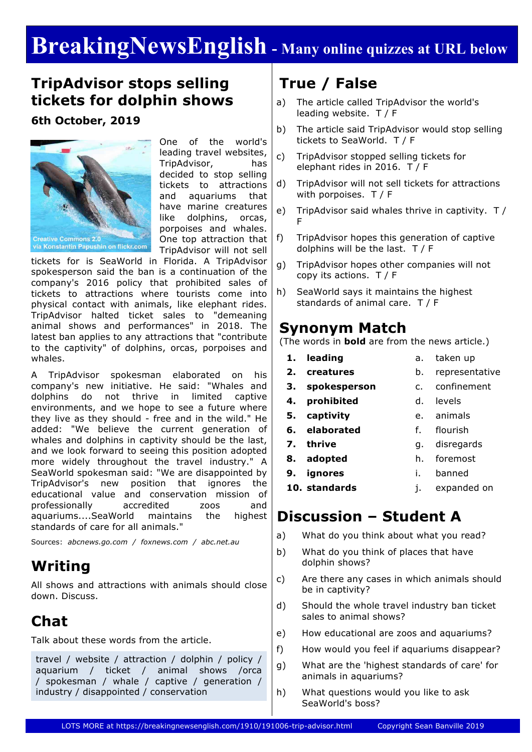# **BreakingNewsEnglish - Many online quizzes at URL below**

## **TripAdvisor stops selling tickets for dolphin shows**

#### **6th October, 2019**



One of the world's leading travel websites, TripAdvisor, has decided to stop selling tickets to attractions and aquariums that have marine creatures like dolphins, orcas, porpoises and whales. One top attraction that TripAdvisor will not sell

tickets for is SeaWorld in Florida. A TripAdvisor spokesperson said the ban is a continuation of the company's 2016 policy that prohibited sales of tickets to attractions where tourists come into physical contact with animals, like elephant rides. TripAdvisor halted ticket sales to "demeaning animal shows and performances" in 2018. The latest ban applies to any attractions that "contribute to the captivity" of dolphins, orcas, porpoises and whales.

A TripAdvisor spokesman elaborated on his company's new initiative. He said: "Whales and dolphins do not thrive in limited captive environments, and we hope to see a future where they live as they should - free and in the wild." He added: "We believe the current generation of whales and dolphins in captivity should be the last, and we look forward to seeing this position adopted more widely throughout the travel industry." A SeaWorld spokesman said: "We are disappointed by TripAdvisor's new position that ignores the educational value and conservation mission of professionally accredited zoos and aquariums....SeaWorld maintains the highest standards of care for all animals."

Sources: *abcnews.go.com / foxnews.com / abc.net.au*

### **Writing**

All shows and attractions with animals should close down. Discuss.

# **Chat**

Talk about these words from the article.

travel / website / attraction / dolphin / policy / aquarium / ticket / animal shows /orca / spokesman / whale / captive / generation / industry / disappointed / conservation

## **True / False**

- a) The article called TripAdvisor the world's leading website. T / F
- b) The article said TripAdvisor would stop selling tickets to SeaWorld. T / F
- c) TripAdvisor stopped selling tickets for elephant rides in 2016. T / F
- d) TripAdvisor will not sell tickets for attractions with porpoises. T / F
- e) TripAdvisor said whales thrive in captivity. T / F
- f) TripAdvisor hopes this generation of captive dolphins will be the last. T / F
- g) TripAdvisor hopes other companies will not copy its actions. T / F
- h) SeaWorld says it maintains the highest standards of animal care. T / F

### **Synonym Match**

(The words in **bold** are from the news article.)

- **1. leading**
- **2. creatures**

**9. ignores**

a. taken up b. representative

h. foremost

- **3. spokesperson**
	- c. confinement d. levels
- **4. prohibited**
- **5. captivity** e. animals
- **6. elaborated** f. flourish g. disregards
- **7. thrive**
- **8. adopted**
	- i. banned
- **10. standards** j. expanded on

### **Discussion – Student A**

- a) What do you think about what you read?
- b) What do you think of places that have dolphin shows?
- c) Are there any cases in which animals should be in captivity?
- d) Should the whole travel industry ban ticket sales to animal shows?
- e) How educational are zoos and aquariums?
- f) How would you feel if aquariums disappear?
- g) What are the 'highest standards of care' for animals in aquariums?
- h) What questions would you like to ask SeaWorld's boss?